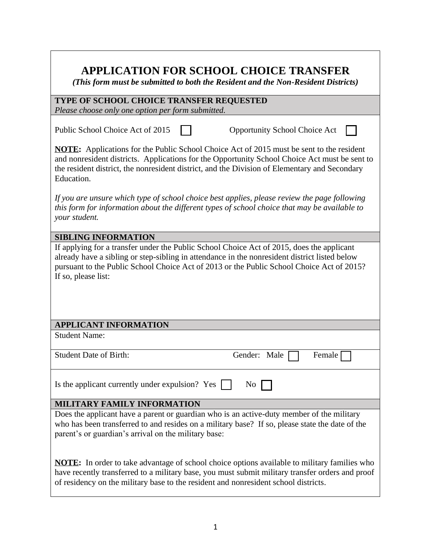# **APPLICATION FOR SCHOOL CHOICE TRANSFER**

*(This form must be submitted to both the Resident and the Non-Resident Districts)*

| TYPE OF SCHOOL CHOICE TRANSFER REQUESTED          |  |
|---------------------------------------------------|--|
| Please choose only one option per form submitted. |  |

Public School Choice Act of 2015 | Opportunity School Choice Act

**NOTE:** Applications for the Public School Choice Act of 2015 must be sent to the resident and nonresident districts. Applications for the Opportunity School Choice Act must be sent to the resident district, the nonresident district, and the Division of Elementary and Secondary Education.

*If you are unsure which type of school choice best applies, please review the page following this form for information about the different types of school choice that may be available to your student.*

#### **SIBLING INFORMATION**

If applying for a transfer under the Public School Choice Act of 2015, does the applicant already have a sibling or step-sibling in attendance in the nonresident district listed below pursuant to the Public School Choice Act of 2013 or the Public School Choice Act of 2015? If so, please list:

## **APPLICANT INFORMATION**

Student Name:

Student Date of Birth: Gender: Male Female Female

Is the applicant currently under expulsion? Yes  $\Box$  No  $\Box$ 

## **MILITARY FAMILY INFORMATION**

Does the applicant have a parent or guardian who is an active-duty member of the military who has been transferred to and resides on a military base? If so, please state the date of the parent's or guardian's arrival on the military base:

**NOTE:** In order to take advantage of school choice options available to military families who have recently transferred to a military base, you must submit military transfer orders and proof of residency on the military base to the resident and nonresident school districts.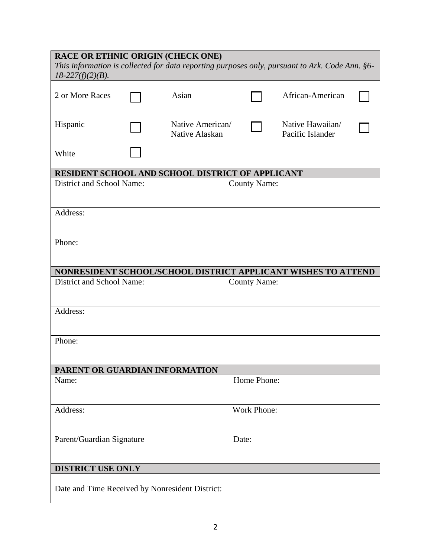| $18-227(f)(2)(B)$ .            |                                                  | <b>RACE OR ETHNIC ORIGIN (CHECK ONE)</b><br>This information is collected for data reporting purposes only, pursuant to Ark. Code Ann. §6- |                     |                                      |  |  |
|--------------------------------|--------------------------------------------------|--------------------------------------------------------------------------------------------------------------------------------------------|---------------------|--------------------------------------|--|--|
| 2 or More Races                |                                                  | Asian                                                                                                                                      |                     | African-American                     |  |  |
| Hispanic                       |                                                  | Native American/<br>Native Alaskan                                                                                                         |                     | Native Hawaiian/<br>Pacific Islander |  |  |
| White                          |                                                  |                                                                                                                                            |                     |                                      |  |  |
|                                |                                                  | RESIDENT SCHOOL AND SCHOOL DISTRICT OF APPLICANT                                                                                           |                     |                                      |  |  |
|                                | District and School Name:<br><b>County Name:</b> |                                                                                                                                            |                     |                                      |  |  |
| Address:                       |                                                  |                                                                                                                                            |                     |                                      |  |  |
| Phone:                         |                                                  |                                                                                                                                            |                     |                                      |  |  |
|                                |                                                  | NONRESIDENT SCHOOL/SCHOOL DISTRICT APPLICANT WISHES TO ATTEND                                                                              |                     |                                      |  |  |
| District and School Name:      |                                                  |                                                                                                                                            | <b>County Name:</b> |                                      |  |  |
| Address:                       |                                                  |                                                                                                                                            |                     |                                      |  |  |
| Phone:                         |                                                  |                                                                                                                                            |                     |                                      |  |  |
| PARENT OR GUARDIAN INFORMATION |                                                  |                                                                                                                                            |                     |                                      |  |  |
| Name:                          |                                                  |                                                                                                                                            | Home Phone:         |                                      |  |  |
| Address:                       |                                                  |                                                                                                                                            | <b>Work Phone:</b>  |                                      |  |  |
| Parent/Guardian Signature      |                                                  |                                                                                                                                            | Date:               |                                      |  |  |
| DISTRICT USE ONLY              |                                                  |                                                                                                                                            |                     |                                      |  |  |
|                                |                                                  |                                                                                                                                            |                     |                                      |  |  |
|                                |                                                  | Date and Time Received by Nonresident District:                                                                                            |                     |                                      |  |  |